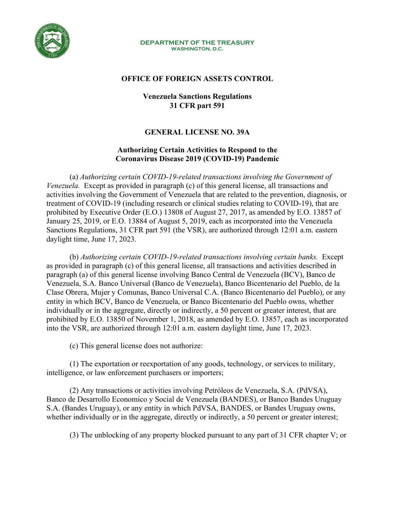

#### **DEPARTMENT OF THE TREASURY** WASHINGTON, D.C.

### **OFFICE OF FOREIGN ASSETS CONTROL**

## **Venezuela Sanctions Regulations 31 CFR part 591**

# **GENERAL LICENSE NO. 39A**

## **Authorizing Certain Activities to Respond to the Coronavirus Disease 2019 (COVID-19) Pandemic**

(a) *Authorizing certain COVID-19-related transactions involving the Government of Venezuela.* Except as provided in paragraph (c) of this general license, all transactions and activities involving the Government of Venezuela that are related to the prevention, diagnosis, or treatment of COVID-19 (including research or clinical studies relating to COVID-19), that are prohibited by Executive Order (E.O.) 13808 of August 27, 2017, as amended by E.O. 13857 of January 25, 2019, or E.O. 13884 of August 5, 2019, each as incorporated into the Venezuela Sanctions Regulations, 31 CFR part 591 (the VSR), are authorized through 12:01 a.m. eastern daylight time, June 17, 2023.

(b) *Authorizing certain COVID-19-related transactions involving certain banks.* Except as provided in paragraph (c) of this general license, all transactions and activities described in paragraph (a) of this general license involving Banco Central de Venezuela (BCV), Banco de Venezuela, S.A. Banco Universal (Banco de Venezuela), Banco Bicentenario del Pueblo, de la Clase Obrera, Mujer y Comunas, Banco Universal C.A. (Banco Bicentenario del Pueblo), or any entity in which BCV, Banco de Venezuela, or Banco Bicentenario del Pueblo owns, whether individually or in the aggregate, directly or indirectly, a 50 percent or greater interest, that are prohibited by E.O. 13850 of November 1, 2018, as amended by E.O. 13857, each as incorporated into the VSR, are authorized through 12:01 a.m. eastern daylight time, June 17, 2023.

(c) This general license does not authorize:

(1) The exportation or reexportation of any goods, technology, or services to military, intelligence, or law enforcement purchasers or importers;

(2) Any transactions or activities involving Petróleos de Venezuela, S.A. (PdVSA), Banco de Desarrollo Economico y Social de Venezuela (BANDES), or Banco Bandes Uruguay S.A. (Bandes Uruguay), or any entity in which PdVSA, BANDES, or Bandes Uruguay owns, whether individually or in the aggregate, directly or indirectly, a 50 percent or greater interest;

(3) The unblocking of any property blocked pursuant to any part of 31 CFR chapter V; or